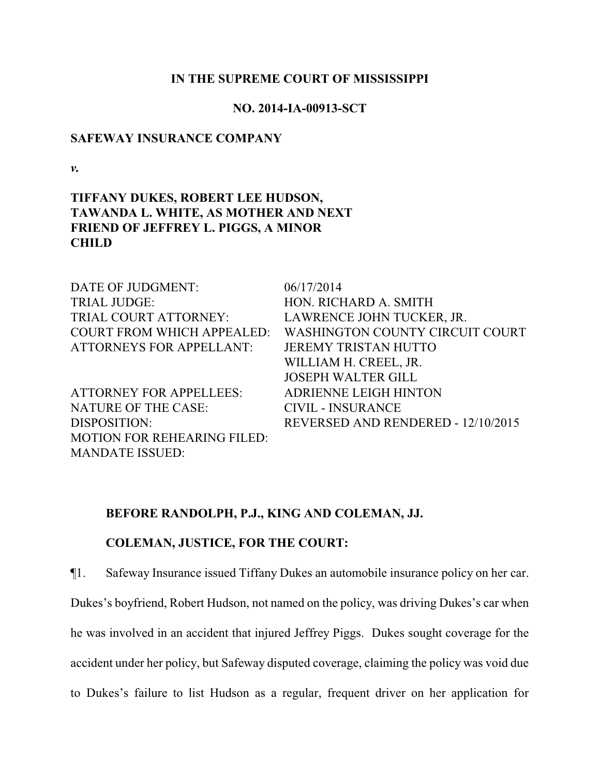#### **IN THE SUPREME COURT OF MISSISSIPPI**

### **NO. 2014-IA-00913-SCT**

#### **SAFEWAY INSURANCE COMPANY**

*v.*

# **TIFFANY DUKES, ROBERT LEE HUDSON, TAWANDA L. WHITE, AS MOTHER AND NEXT FRIEND OF JEFFREY L. PIGGS, A MINOR CHILD**

| DATE OF JUDGMENT:                  | 06/17/2014                             |
|------------------------------------|----------------------------------------|
| <b>TRIAL JUDGE:</b>                | HON. RICHARD A. SMITH                  |
| TRIAL COURT ATTORNEY:              | LAWRENCE JOHN TUCKER, JR.              |
| <b>COURT FROM WHICH APPEALED:</b>  | <b>WASHINGTON COUNTY CIRCUIT COURT</b> |
| <b>ATTORNEYS FOR APPELLANT:</b>    | <b>JEREMY TRISTAN HUTTO</b>            |
|                                    | WILLIAM H. CREEL, JR.                  |
|                                    | <b>JOSEPH WALTER GILL</b>              |
| <b>ATTORNEY FOR APPELLEES:</b>     | <b>ADRIENNE LEIGH HINTON</b>           |
| NATURE OF THE CASE:                | <b>CIVIL - INSURANCE</b>               |
| DISPOSITION:                       | REVERSED AND RENDERED - 12/10/2015     |
| <b>MOTION FOR REHEARING FILED:</b> |                                        |
| <b>MANDATE ISSUED:</b>             |                                        |

## **BEFORE RANDOLPH, P.J., KING AND COLEMAN, JJ.**

## **COLEMAN, JUSTICE, FOR THE COURT:**

¶1. Safeway Insurance issued Tiffany Dukes an automobile insurance policy on her car.

Dukes's boyfriend, Robert Hudson, not named on the policy, was driving Dukes's car when

he was involved in an accident that injured Jeffrey Piggs. Dukes sought coverage for the

accident under her policy, but Safeway disputed coverage, claiming the policy was void due

to Dukes's failure to list Hudson as a regular, frequent driver on her application for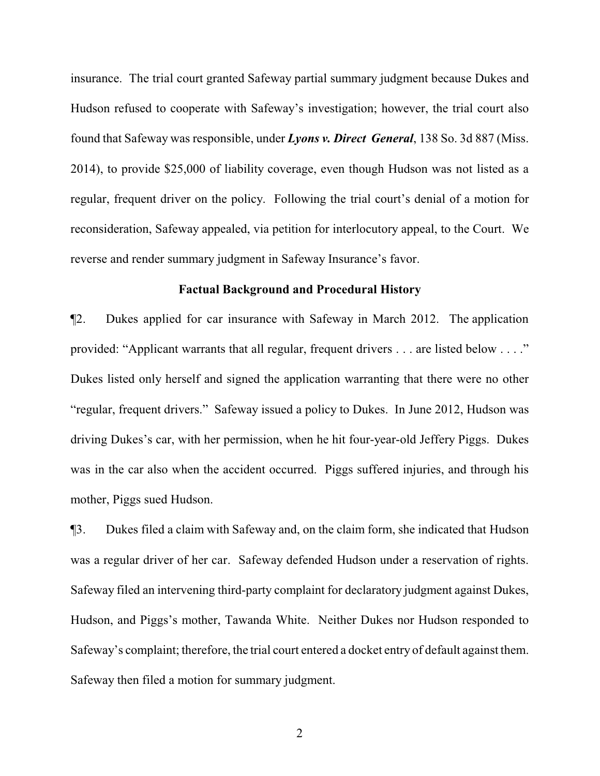insurance. The trial court granted Safeway partial summary judgment because Dukes and Hudson refused to cooperate with Safeway's investigation; however, the trial court also found that Safeway was responsible, under *Lyons v. Direct General*, 138 So. 3d 887 (Miss. 2014), to provide \$25,000 of liability coverage, even though Hudson was not listed as a regular, frequent driver on the policy. Following the trial court's denial of a motion for reconsideration, Safeway appealed, via petition for interlocutory appeal, to the Court. We reverse and render summary judgment in Safeway Insurance's favor.

#### **Factual Background and Procedural History**

¶2. Dukes applied for car insurance with Safeway in March 2012. The application provided: "Applicant warrants that all regular, frequent drivers . . . are listed below . . . ." Dukes listed only herself and signed the application warranting that there were no other "regular, frequent drivers." Safeway issued a policy to Dukes. In June 2012, Hudson was driving Dukes's car, with her permission, when he hit four-year-old Jeffery Piggs. Dukes was in the car also when the accident occurred. Piggs suffered injuries, and through his mother, Piggs sued Hudson.

¶3. Dukes filed a claim with Safeway and, on the claim form, she indicated that Hudson was a regular driver of her car. Safeway defended Hudson under a reservation of rights. Safeway filed an intervening third-party complaint for declaratory judgment against Dukes, Hudson, and Piggs's mother, Tawanda White. Neither Dukes nor Hudson responded to Safeway's complaint; therefore, the trial court entered a docket entry of default against them. Safeway then filed a motion for summary judgment.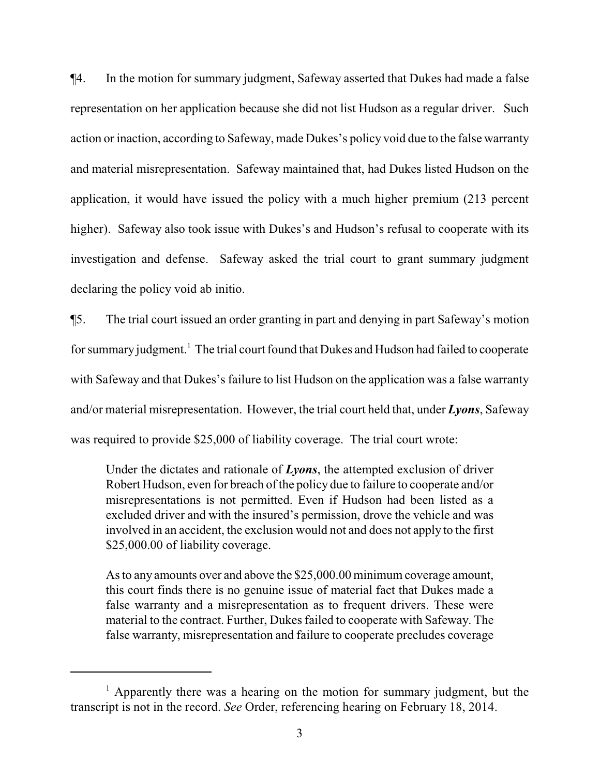¶4. In the motion for summary judgment, Safeway asserted that Dukes had made a false representation on her application because she did not list Hudson as a regular driver. Such action or inaction, according to Safeway, made Dukes's policy void due to the false warranty and material misrepresentation. Safeway maintained that, had Dukes listed Hudson on the application, it would have issued the policy with a much higher premium (213 percent higher). Safeway also took issue with Dukes's and Hudson's refusal to cooperate with its investigation and defense. Safeway asked the trial court to grant summary judgment declaring the policy void ab initio.

¶5. The trial court issued an order granting in part and denying in part Safeway's motion for summary judgment.<sup>1</sup> The trial court found that Dukes and Hudson had failed to cooperate with Safeway and that Dukes's failure to list Hudson on the application was a false warranty and/or material misrepresentation. However, the trial court held that, under *Lyons*, Safeway was required to provide \$25,000 of liability coverage. The trial court wrote:

Under the dictates and rationale of *Lyons*, the attempted exclusion of driver Robert Hudson, even for breach of the policy due to failure to cooperate and/or misrepresentations is not permitted. Even if Hudson had been listed as a excluded driver and with the insured's permission, drove the vehicle and was involved in an accident, the exclusion would not and does not apply to the first \$25,000.00 of liability coverage.

As to any amounts over and above the \$25,000.00 minimum coverage amount, this court finds there is no genuine issue of material fact that Dukes made a false warranty and a misrepresentation as to frequent drivers. These were material to the contract. Further, Dukes failed to cooperate with Safeway. The false warranty, misrepresentation and failure to cooperate precludes coverage

<sup>&</sup>lt;sup>1</sup> Apparently there was a hearing on the motion for summary judgment, but the transcript is not in the record. *See* Order, referencing hearing on February 18, 2014.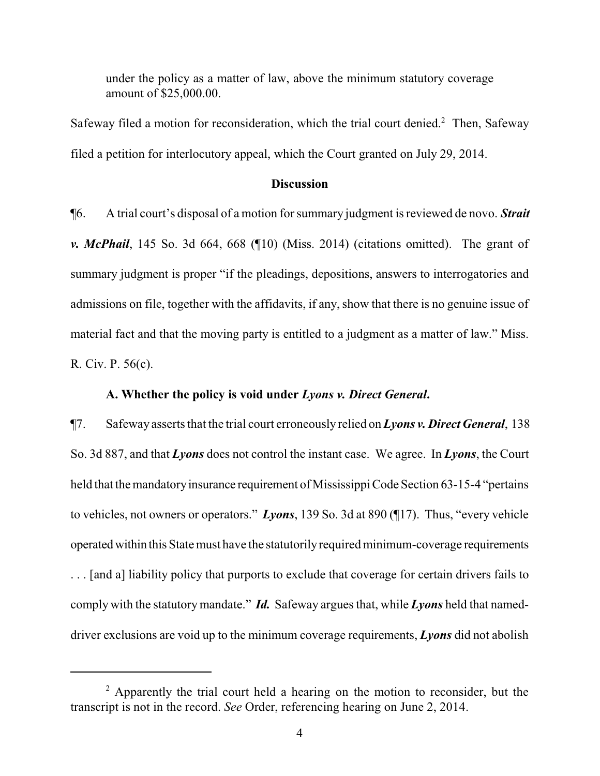under the policy as a matter of law, above the minimum statutory coverage amount of \$25,000.00.

Safeway filed a motion for reconsideration, which the trial court denied.<sup>2</sup> Then, Safeway filed a petition for interlocutory appeal, which the Court granted on July 29, 2014.

#### **Discussion**

¶6. A trial court's disposal of a motion for summary judgment is reviewed de novo. *Strait v. McPhail*, 145 So. 3d 664, 668 (¶10) (Miss. 2014) (citations omitted). The grant of summary judgment is proper "if the pleadings, depositions, answers to interrogatories and admissions on file, together with the affidavits, if any, show that there is no genuine issue of material fact and that the moving party is entitled to a judgment as a matter of law." Miss. R. Civ. P. 56(c).

#### **A. Whether the policy is void under** *Lyons v. Direct General***.**

¶7. Safeway asserts that the trial court erroneously relied on *Lyons v. Direct General*, 138 So. 3d 887, and that *Lyons* does not control the instant case. We agree. In *Lyons*, the Court held that the mandatory insurance requirement of Mississippi Code Section 63-15-4 "pertains" to vehicles, not owners or operators." *Lyons*, 139 So. 3d at 890 (¶17). Thus, "every vehicle operatedwithin this State must have the statutorilyrequired minimum-coverage requirements . . . [and a] liability policy that purports to exclude that coverage for certain drivers fails to comply with the statutorymandate." *Id.* Safeway argues that, while *Lyons* held that nameddriver exclusions are void up to the minimum coverage requirements, *Lyons* did not abolish

 $2$  Apparently the trial court held a hearing on the motion to reconsider, but the transcript is not in the record. *See* Order, referencing hearing on June 2, 2014.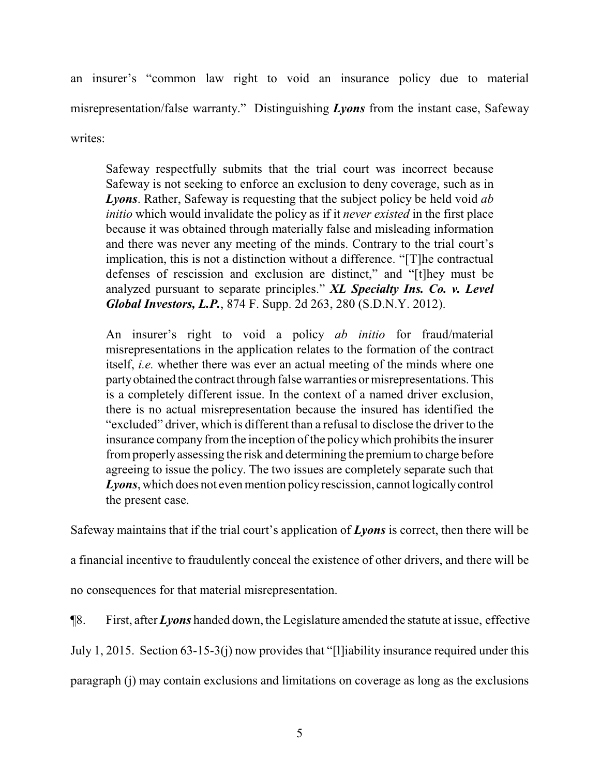an insurer's "common law right to void an insurance policy due to material misrepresentation/false warranty." Distinguishing *Lyons* from the instant case, Safeway writes:

Safeway respectfully submits that the trial court was incorrect because Safeway is not seeking to enforce an exclusion to deny coverage, such as in *Lyons*. Rather, Safeway is requesting that the subject policy be held void *ab initio* which would invalidate the policy as if it *never existed* in the first place because it was obtained through materially false and misleading information and there was never any meeting of the minds. Contrary to the trial court's implication, this is not a distinction without a difference. "[T]he contractual defenses of rescission and exclusion are distinct," and "[t]hey must be analyzed pursuant to separate principles." *XL Specialty Ins. Co. v. Level Global Investors, L.P.*, 874 F. Supp. 2d 263, 280 (S.D.N.Y. 2012).

An insurer's right to void a policy *ab initio* for fraud/material misrepresentations in the application relates to the formation of the contract itself, *i.e.* whether there was ever an actual meeting of the minds where one party obtained the contract through false warranties or misrepresentations. This is a completely different issue. In the context of a named driver exclusion, there is no actual misrepresentation because the insured has identified the "excluded" driver, which is different than a refusal to disclose the driver to the insurance company from the inception of the policy which prohibits the insurer fromproperly assessing the risk and determining the premiumto charge before agreeing to issue the policy. The two issues are completely separate such that *Lyons*, which does not even mention policyrescission, cannot logicallycontrol the present case.

Safeway maintains that if the trial court's application of *Lyons* is correct, then there will be

a financial incentive to fraudulently conceal the existence of other drivers, and there will be

no consequences for that material misrepresentation.

¶8. First, after *Lyons* handed down, the Legislature amended the statute at issue, effective

July 1, 2015. Section 63-15-3(j) now provides that "[l]iability insurance required under this

paragraph (j) may contain exclusions and limitations on coverage as long as the exclusions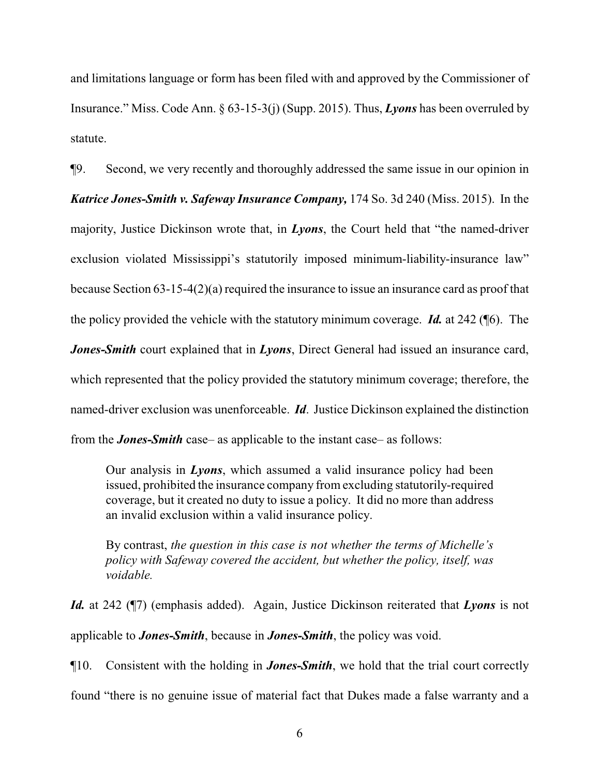and limitations language or form has been filed with and approved by the Commissioner of Insurance." Miss. Code Ann. § 63-15-3(j) (Supp. 2015). Thus, *Lyons* has been overruled by statute.

¶9. Second, we very recently and thoroughly addressed the same issue in our opinion in

*Katrice Jones-Smith v. Safeway Insurance Company,* 174 So. 3d 240 (Miss. 2015). In the majority, Justice Dickinson wrote that, in *Lyons*, the Court held that "the named-driver exclusion violated Mississippi's statutorily imposed minimum-liability-insurance law" because Section 63-15-4(2)(a) required the insurance to issue an insurance card as proof that the policy provided the vehicle with the statutory minimum coverage. *Id.* at 242 (¶6). The *Jones-Smith* court explained that in *Lyons*, Direct General had issued an insurance card, which represented that the policy provided the statutory minimum coverage; therefore, the named-driver exclusion was unenforceable. *Id*. Justice Dickinson explained the distinction from the *Jones-Smith* case– as applicable to the instant case– as follows:

Our analysis in *Lyons*, which assumed a valid insurance policy had been issued, prohibited the insurance company fromexcluding statutorily-required coverage, but it created no duty to issue a policy. It did no more than address an invalid exclusion within a valid insurance policy.

By contrast, *the question in this case is not whether the terms of Michelle's policy with Safeway covered the accident, but whether the policy, itself, was voidable.* 

*Id.* at 242 (¶7) (emphasis added). Again, Justice Dickinson reiterated that *Lyons* is not applicable to *Jones-Smith*, because in *Jones-Smith*, the policy was void.

¶10. Consistent with the holding in *Jones-Smith*, we hold that the trial court correctly

found "there is no genuine issue of material fact that Dukes made a false warranty and a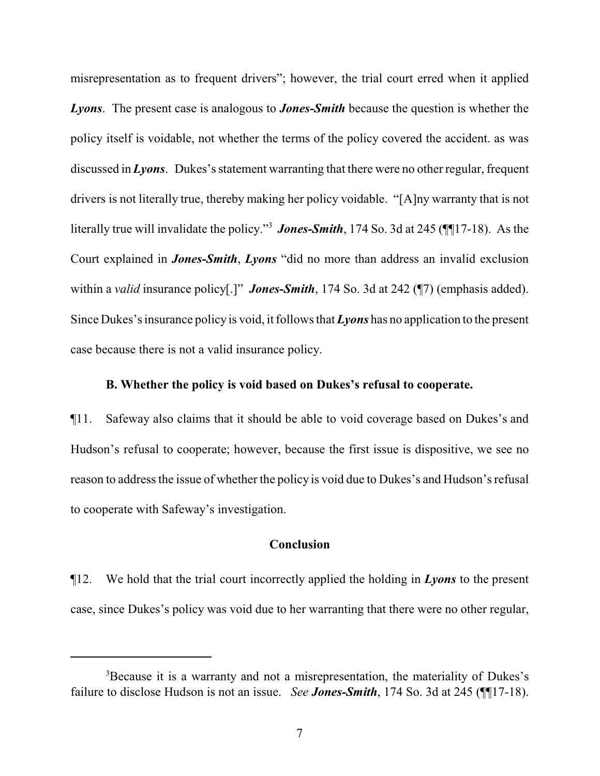misrepresentation as to frequent drivers"; however, the trial court erred when it applied *Lyons*. The present case is analogous to *Jones-Smith* because the question is whether the policy itself is voidable, not whether the terms of the policy covered the accident. as was discussed in *Lyons*. Dukes's statement warranting that there were no other regular, frequent drivers is not literally true, thereby making her policy voidable. "[A]ny warranty that is not literally true will invalidate the policy."<sup>3</sup> *Jones-Smith*, 174 So. 3d at 245 (¶¶17-18). As the Court explained in *Jones-Smith*, *Lyons* "did no more than address an invalid exclusion within a *valid* insurance policy[.]" *Jones-Smith*, 174 So. 3d at 242 (17) (emphasis added). Since Dukes's insurance policy is void, it follows that *Lyons* has no application to the present case because there is not a valid insurance policy.

#### **B. Whether the policy is void based on Dukes's refusal to cooperate.**

¶11. Safeway also claims that it should be able to void coverage based on Dukes's and Hudson's refusal to cooperate; however, because the first issue is dispositive, we see no reason to address the issue of whether the policy is void due to Dukes's and Hudson's refusal to cooperate with Safeway's investigation.

### **Conclusion**

¶12. We hold that the trial court incorrectly applied the holding in *Lyons* to the present case, since Dukes's policy was void due to her warranting that there were no other regular,

<sup>&</sup>lt;sup>3</sup>Because it is a warranty and not a misrepresentation, the materiality of Dukes's failure to disclose Hudson is not an issue. *See Jones-Smith*, 174 So. 3d at 245 (¶¶17-18).